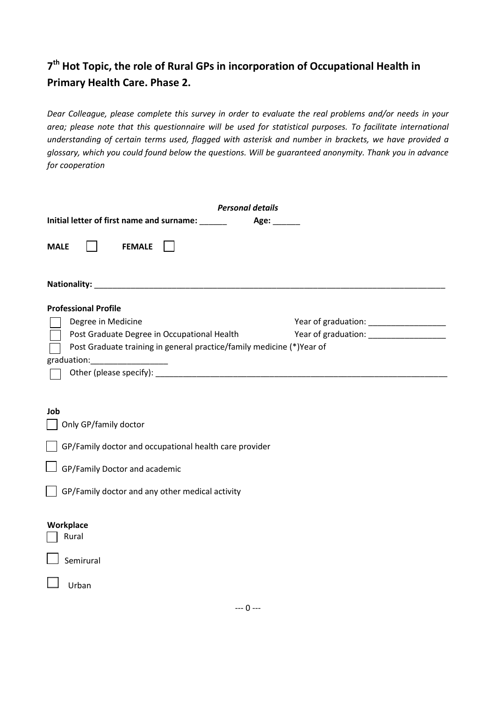# **7 th Hot Topic, the role of Rural GPs in incorporation of Occupational Health in Primary Health Care. Phase 2.**

*Dear Colleague, please complete this survey in order to evaluate the real problems and/or needs in your area; please note that this questionnaire will be used for statistical purposes. To facilitate international understanding of certain terms used, flagged with asterisk and number in brackets, we have provided a glossary, which you could found below the questions. Will be guaranteed anonymity. Thank you in advance for cooperation* 

| <b>Personal details</b>                                                                                                                                                                  |                                        |  |  |  |
|------------------------------------------------------------------------------------------------------------------------------------------------------------------------------------------|----------------------------------------|--|--|--|
| Initial letter of first name and surname: ______<br>Age: _______                                                                                                                         |                                        |  |  |  |
| <b>FEMALE</b><br><b>MALE</b>                                                                                                                                                             |                                        |  |  |  |
|                                                                                                                                                                                          |                                        |  |  |  |
| <b>Professional Profile</b><br>Degree in Medicine<br>Post Graduate Degree in Occupational Health<br>Post Graduate training in general practice/family medicine (*)Year of<br>graduation: | Year of graduation: __________________ |  |  |  |
| Job<br>Only GP/family doctor<br>GP/Family doctor and occupational health care provider<br>GP/Family Doctor and academic<br>GP/Family doctor and any other medical activity               |                                        |  |  |  |
| Workplace<br>Rural<br>Semirural<br>Urban                                                                                                                                                 |                                        |  |  |  |
| $--- 0 ---$                                                                                                                                                                              |                                        |  |  |  |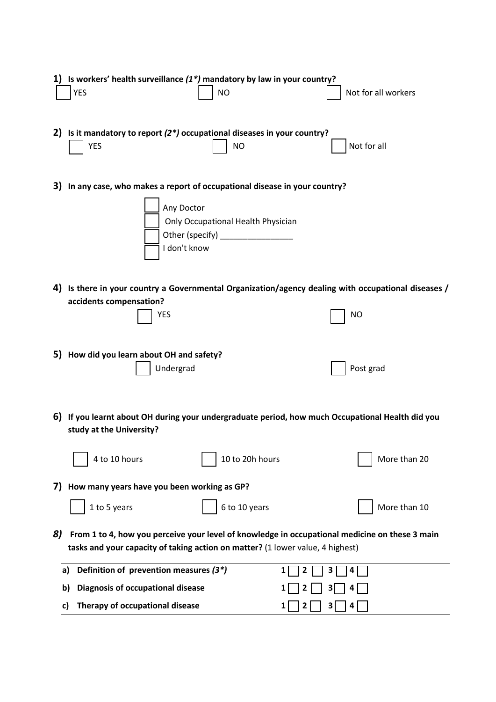|    | Is workers' health surveillance $(1^*)$ mandatory by law in your country?<br><b>YES</b><br><b>NO</b>                                                                               | Not for all workers |
|----|------------------------------------------------------------------------------------------------------------------------------------------------------------------------------------|---------------------|
|    | 2) Is it mandatory to report $(2^*)$ occupational diseases in your country?<br><b>YES</b><br><b>NO</b>                                                                             | Not for all         |
| 3) | In any case, who makes a report of occupational disease in your country?<br>Any Doctor<br>Only Occupational Health Physician<br>Other (specify) __________________<br>I don't know |                     |
|    | 4) Is there in your country a Governmental Organization/agency dealing with occupational diseases /<br>accidents compensation?<br><b>YES</b>                                       | NO                  |
|    | 5) How did you learn about OH and safety?<br>Undergrad                                                                                                                             | Post grad           |
|    | 6) If you learnt about OH during your undergraduate period, how much Occupational Health did you<br>study at the University?                                                       |                     |
|    | 10 to 20h hours<br>4 to 10 hours                                                                                                                                                   | More than 20        |
| 7) | How many years have you been working as GP?                                                                                                                                        |                     |
|    | 6 to 10 years<br>1 to 5 years                                                                                                                                                      | More than 10        |
| 8) | From 1 to 4, how you perceive your level of knowledge in occupational medicine on these 3 main<br>tasks and your capacity of taking action on matter? (1 lower value, 4 highest)   |                     |
|    | Definition of prevention measures (3*)<br>1<br>a)                                                                                                                                  | 2<br>3<br>4         |
|    | <b>Diagnosis of occupational disease</b><br>b)                                                                                                                                     |                     |
|    | Therapy of occupational disease<br>C)                                                                                                                                              | 3<br>2              |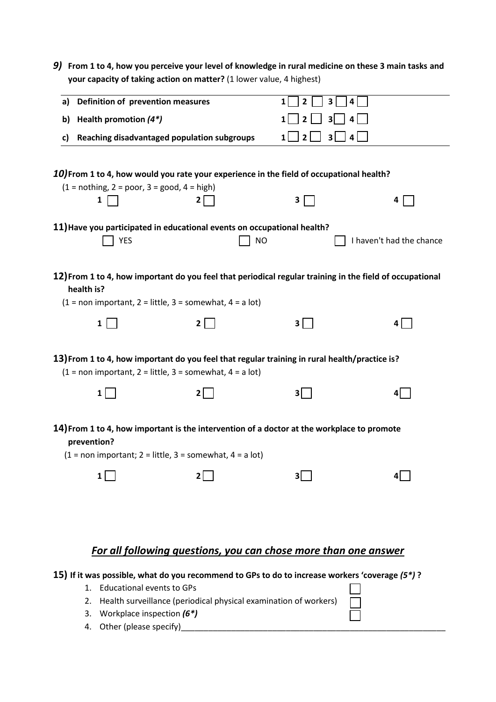| 9) | From 1 to 4, how you perceive your level of knowledge in rural medicine on these 3 main tasks and<br>your capacity of taking action on matter? (1 lower value, 4 highest)                                          |              |                                            |                          |
|----|--------------------------------------------------------------------------------------------------------------------------------------------------------------------------------------------------------------------|--------------|--------------------------------------------|--------------------------|
| a) | Definition of prevention measures                                                                                                                                                                                  |              | $\mathbf{1}$<br>$\overline{2}$<br>3<br>4   |                          |
| b) | Health promotion $(4^*)$                                                                                                                                                                                           |              | $\overline{2}$<br>3 <sup>1</sup><br>1<br>4 |                          |
| c) | Reaching disadvantaged population subgroups                                                                                                                                                                        |              | 2 <sup>1</sup><br>3 <sup>1</sup><br>1<br>4 |                          |
|    | 10) From 1 to 4, how would you rate your experience in the field of occupational health?<br>$(1 = nothing, 2 = poor, 3 = good, 4 = high)$<br>1                                                                     | $\mathbf{2}$ | 3                                          | 4                        |
|    | 11) Have you participated in educational events on occupational health?<br><b>YES</b>                                                                                                                              | NO           |                                            | I haven't had the chance |
|    | 12) From 1 to 4, how important do you feel that periodical regular training in the field of occupational<br>health is?<br>$(1 = non important, 2 = little, 3 = somewhat, 4 = a lot)$                               |              |                                            |                          |
|    | $\mathbf{1}$                                                                                                                                                                                                       | $\mathbf{2}$ | 3                                          | 4 <sup>1</sup>           |
|    | 13) From 1 to 4, how important do you feel that regular training in rural health/practice is?<br>$(1 = non important, 2 = little, 3 = somewhat, 4 = a lot)$                                                        |              |                                            |                          |
|    | $1\vert$                                                                                                                                                                                                           | 2            | 3                                          | 4                        |
|    | 14) From 1 to 4, how important is the intervention of a doctor at the workplace to promote<br>prevention?<br>$(1 = non important; 2 = little, 3 = somewhat, 4 = a lot)$                                            |              |                                            |                          |
|    | $1\vert$                                                                                                                                                                                                           | 21           | 3                                          | 41                       |
|    |                                                                                                                                                                                                                    |              |                                            |                          |
|    | For all following questions, you can chose more than one answer                                                                                                                                                    |              |                                            |                          |
|    | 15) If it was possible, what do you recommend to GPs to do to increase workers 'coverage (5*)?<br><b>Educational events to GPs</b><br>1.<br>Health surveillance (periodical physical examination of workers)<br>2. |              |                                            |                          |
|    | Workplace inspection (6*)<br>3.                                                                                                                                                                                    |              |                                            |                          |

- 2. Health surveillance (periodical physical examination of workers)
- 3. Workplace inspection *(6\*)*
- 4. Other (please specify)\_\_\_\_\_\_